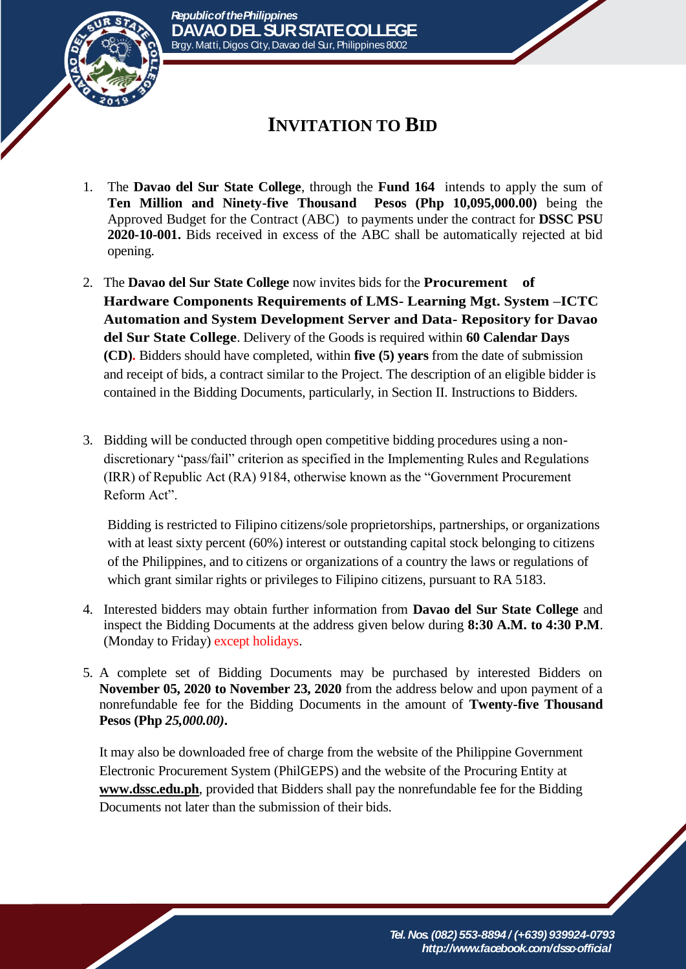

## **INVITATION TO BID**

- 1. The **Davao del Sur State College**, through the **Fund 164** intends to apply the sum of **Ten Million and Ninety-five Thousand Pesos (Php 10,095,000.00)** being the Approved Budget for the Contract (ABC) to payments under the contract for **DSSC PSU 2020-10-001.** Bids received in excess of the ABC shall be automatically rejected at bid opening.
- 2. The **Davao del Sur State College** now invites bids for the **Procurement of Hardware Components Requirements of LMS- Learning Mgt. System –ICTC Automation and System Development Server and Data- Repository for Davao del Sur State College**. Delivery of the Goods is required within **60 Calendar Days (CD).** Bidders should have completed, within **five (5) years** from the date of submission and receipt of bids, a contract similar to the Project. The description of an eligible bidder is contained in the Bidding Documents, particularly, in Section II. Instructions to Bidders.
- 3. Bidding will be conducted through open competitive bidding procedures using a nondiscretionary "pass/fail" criterion as specified in the Implementing Rules and Regulations (IRR) of Republic Act (RA) 9184, otherwise known as the "Government Procurement Reform Act".

Bidding is restricted to Filipino citizens/sole proprietorships, partnerships, or organizations with at least sixty percent (60%) interest or outstanding capital stock belonging to citizens of the Philippines, and to citizens or organizations of a country the laws or regulations of which grant similar rights or privileges to Filipino citizens, pursuant to RA 5183.

- 4. Interested bidders may obtain further information from **Davao del Sur State College** and inspect the Bidding Documents at the address given below during **8:30 A.M. to 4:30 P.M**. (Monday to Friday) except holidays.
- 5. A complete set of Bidding Documents may be purchased by interested Bidders on **November 05, 2020 to November 23, 2020** from the address below and upon payment of a nonrefundable fee for the Bidding Documents in the amount of **Twenty-five Thousand Pesos (Php** *25,000.00)***.**

It may also be downloaded free of charge from the website of the Philippine Government Electronic Procurement System (PhilGEPS) and the website of the Procuring Entity at **[www.dssc.edu.ph](http://www.dssc.edu.ph/)**, provided that Bidders shall pay the nonrefundable fee for the Bidding Documents not later than the submission of their bids.

> *Tel. Nos. (082) 553-8894 / (+639) 939924-0793 http://www.facebook.com/dssc-official*